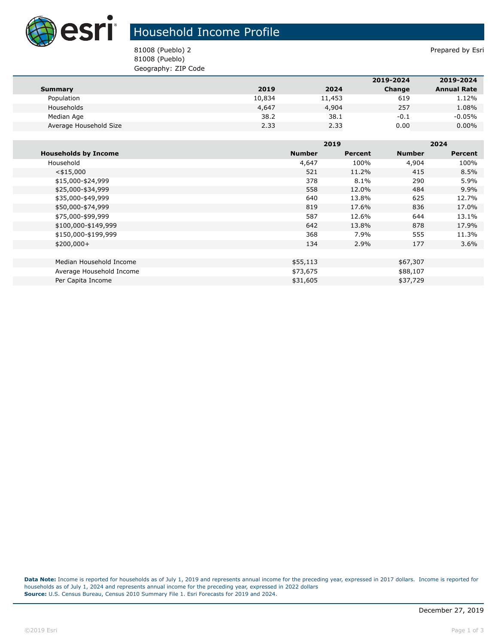

## Household Income Profile

81008 (Pueblo) 2 Prepared by Esri 81008 (Pueblo) Geography: ZIP Code

|                        |        |        | 2019-2024 | 2019-2024          |
|------------------------|--------|--------|-----------|--------------------|
| Summary                | 2019   | 2024   | Change    | <b>Annual Rate</b> |
| Population             | 10,834 | 11,453 | 619       | 1.12%              |
| Households             | 4,647  | 4,904  | 257       | 1.08%              |
| Median Age             | 38.2   | 38.1   | $-0.1$    | $-0.05\%$          |
| Average Household Size | 2.33   | 2.33   | 0.00      | $0.00\%$           |

|                             |               | 2019    |               | 2024    |  |
|-----------------------------|---------------|---------|---------------|---------|--|
| <b>Households by Income</b> | <b>Number</b> | Percent | <b>Number</b> | Percent |  |
| Household                   | 4,647         | 100%    | 4,904         | 100%    |  |
| $<$ \$15,000                | 521           | 11.2%   | 415           | 8.5%    |  |
| \$15,000-\$24,999           | 378           | 8.1%    | 290           | 5.9%    |  |
| \$25,000-\$34,999           | 558           | 12.0%   | 484           | 9.9%    |  |
| \$35,000-\$49,999           | 640           | 13.8%   | 625           | 12.7%   |  |
| \$50,000-\$74,999           | 819           | 17.6%   | 836           | 17.0%   |  |
| \$75,000-\$99,999           | 587           | 12.6%   | 644           | 13.1%   |  |
| \$100,000-\$149,999         | 642           | 13.8%   | 878           | 17.9%   |  |
| \$150,000-\$199,999         | 368           | 7.9%    | 555           | 11.3%   |  |
| $$200,000+$                 | 134           | 2.9%    | 177           | $3.6\%$ |  |
|                             |               |         |               |         |  |
| Median Household Income     | \$55,113      |         | \$67,307      |         |  |
| Average Household Income    | \$73,675      |         | \$88,107      |         |  |
| Per Capita Income           | \$31,605      |         | \$37,729      |         |  |

**Data Note:** Income is reported for households as of July 1, 2019 and represents annual income for the preceding year, expressed in 2017 dollars. Income is reported for households as of July 1, 2024 and represents annual income for the preceding year, expressed in 2022 dollars **Source:** U.S. Census Bureau, Census 2010 Summary File 1. Esri Forecasts for 2019 and 2024.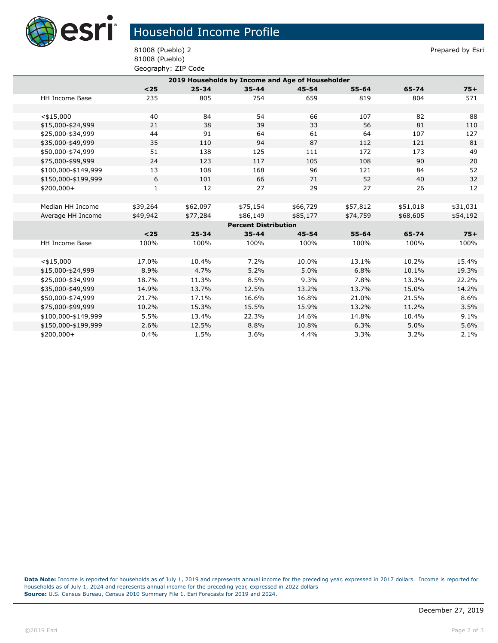

## Household Income Profile

81008 (Pueblo) 2 Prepared by Esri 81008 (Pueblo) Geography: ZIP Code

| 2019 Households by Income and Age of Householder |          |           |           |           |           |          |          |  |
|--------------------------------------------------|----------|-----------|-----------|-----------|-----------|----------|----------|--|
|                                                  | $<$ 25   | $25 - 34$ | $35 - 44$ | $45 - 54$ | $55 - 64$ | 65-74    | $75+$    |  |
| <b>HH Income Base</b>                            | 235      | 805       | 754       | 659       | 819       | 804      | 571      |  |
|                                                  |          |           |           |           |           |          |          |  |
| $<$ \$15,000                                     | 40       | 84        | 54        | 66        | 107       | 82       | 88       |  |
| \$15,000-\$24,999                                | 21       | 38        | 39        | 33        | 56        | 81       | 110      |  |
| \$25,000-\$34,999                                | 44       | 91        | 64        | 61        | 64        | 107      | 127      |  |
| \$35,000-\$49,999                                | 35       | 110       | 94        | 87        | 112       | 121      | 81       |  |
| \$50,000-\$74,999                                | 51       | 138       | 125       | 111       | 172       | 173      | 49       |  |
| \$75,000-\$99,999                                | 24       | 123       | 117       | 105       | 108       | 90       | 20       |  |
| \$100,000-\$149,999                              | 13       | 108       | 168       | 96        | 121       | 84       | 52       |  |
| \$150,000-\$199,999                              | 6        | 101       | 66        | 71        | 52        | 40       | 32       |  |
| $$200,000+$                                      | 1        | 12        | 27        | 29        | 27        | 26       | 12       |  |
|                                                  |          |           |           |           |           |          |          |  |
| Median HH Income                                 | \$39,264 | \$62,097  | \$75,154  | \$66,729  | \$57,812  | \$51,018 | \$31,031 |  |
| Average HH Income                                | \$49,942 | \$77,284  | \$86,149  | \$85,177  | \$74,759  | \$68,605 | \$54,192 |  |
| <b>Percent Distribution</b>                      |          |           |           |           |           |          |          |  |
|                                                  | $25$     | $25 - 34$ | $35 - 44$ | 45-54     | $55 - 64$ | 65-74    | $75+$    |  |
| HH Income Base                                   | 100%     | 100%      | 100%      | 100%      | 100%      | 100%     | 100%     |  |
|                                                  |          |           |           |           |           |          |          |  |
| $<$ \$15,000                                     | 17.0%    | 10.4%     | 7.2%      | 10.0%     | 13.1%     | 10.2%    | 15.4%    |  |
| \$15,000-\$24,999                                | 8.9%     | 4.7%      | 5.2%      | 5.0%      | 6.8%      | 10.1%    | 19.3%    |  |
| \$25,000-\$34,999                                | 18.7%    | 11.3%     | 8.5%      | 9.3%      | 7.8%      | 13.3%    | 22.2%    |  |
| \$35,000-\$49,999                                | 14.9%    | 13.7%     | 12.5%     | 13.2%     | 13.7%     | 15.0%    | 14.2%    |  |
| \$50,000-\$74,999                                | 21.7%    | 17.1%     | 16.6%     | 16.8%     | 21.0%     | 21.5%    | 8.6%     |  |
| \$75,000-\$99,999                                | 10.2%    | 15.3%     | 15.5%     | 15.9%     | 13.2%     | 11.2%    | 3.5%     |  |
| \$100,000-\$149,999                              | 5.5%     | 13.4%     | 22.3%     | 14.6%     | 14.8%     | 10.4%    | 9.1%     |  |
| \$150,000-\$199,999                              | 2.6%     | 12.5%     | 8.8%      | 10.8%     | 6.3%      | 5.0%     | 5.6%     |  |
| \$200,000+                                       | 0.4%     | 1.5%      | 3.6%      | 4.4%      | 3.3%      | 3.2%     | 2.1%     |  |

**Data Note:** Income is reported for households as of July 1, 2019 and represents annual income for the preceding year, expressed in 2017 dollars. Income is reported for households as of July 1, 2024 and represents annual income for the preceding year, expressed in 2022 dollars **Source:** U.S. Census Bureau, Census 2010 Summary File 1. Esri Forecasts for 2019 and 2024.